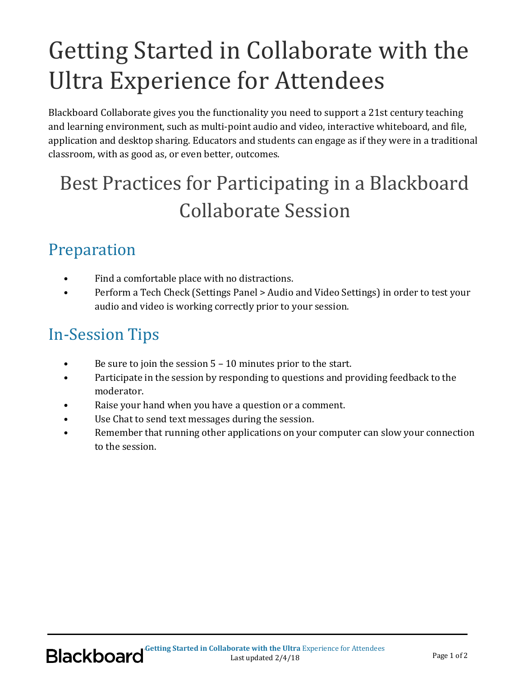# Getting Started in Collaborate with the Ultra Experience for Attendees

Blackboard Collaborate gives you the functionality you need to support a 21st century teaching and learning environment, such as multi-point audio and video, interactive whiteboard, and file, application and desktop sharing. Educators and students can engage as if they were in a traditional classroom, with as good as, or even better, outcomes.

## Best Practices for Participating in a Blackboard Collaborate Session

#### Preparation

- Find a comfortable place with no distractions.
- Perform a Tech Check (Settings Panel > Audio and Video Settings) in order to test your audio and video is working correctly prior to your session.

#### In-Session Tips

- Be sure to join the session 5 10 minutes prior to the start.
- Participate in the session by responding to questions and providing feedback to the moderator.
- Raise your hand when you have a question or a comment.
- Use Chat to send text messages during the session.
- Remember that running other applications on your computer can slow your connection to the session.